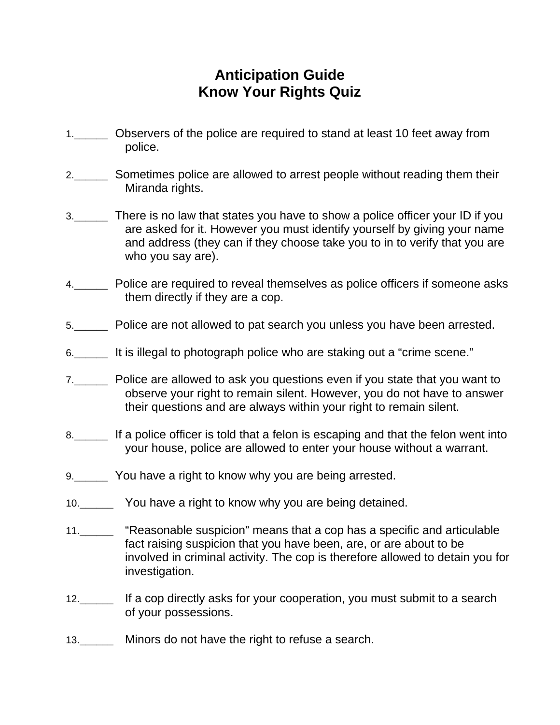## **Anticipation Guide Know Your Rights Quiz**

- 1.\_\_\_\_\_\_ Observers of the police are required to stand at least 10 feet away from police.
- 2.\_\_\_\_\_\_ Sometimes police are allowed to arrest people without reading them their Miranda rights.
- 3.\_\_\_\_\_\_ There is no law that states you have to show a police officer your ID if you are asked for it. However you must identify yourself by giving your name and address (they can if they choose take you to in to verify that you are who you say are).
- 4.\_\_\_\_\_\_ Police are required to reveal themselves as police officers if someone asks them directly if they are a cop.
- 5.\_\_\_\_\_\_ Police are not allowed to pat search you unless you have been arrested.
- 6.\_\_\_\_\_\_ It is illegal to photograph police who are staking out a "crime scene."
- 7.\_\_\_\_\_\_ Police are allowed to ask you questions even if you state that you want to observe your right to remain silent. However, you do not have to answer their questions and are always within your right to remain silent.
- 8.\_\_\_\_\_\_ If a police officer is told that a felon is escaping and that the felon went into your house, police are allowed to enter your house without a warrant.
- 9.\_\_\_\_\_\_ You have a right to know why you are being arrested.
- 10.\_\_\_\_\_\_ You have a right to know why you are being detained.
- 11.\_\_\_\_\_\_ "Reasonable suspicion" means that a cop has a specific and articulable fact raising suspicion that you have been, are, or are about to be involved in criminal activity. The cop is therefore allowed to detain you for investigation.
- 12.\_\_\_\_\_\_ If a cop directly asks for your cooperation, you must submit to a search of your possessions.
- 13.\_\_\_\_\_\_ Minors do not have the right to refuse a search.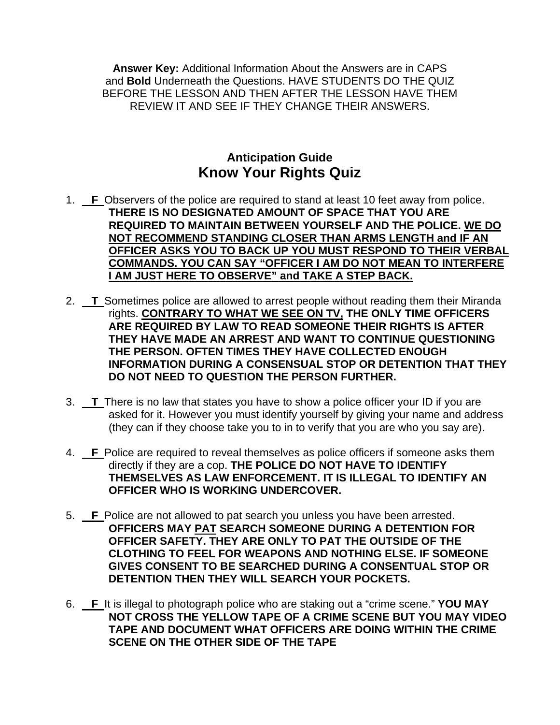**Answer Key:** Additional Information About the Answers are in CAPS and **Bold** Underneath the Questions. HAVE STUDENTS DO THE QUIZ BEFORE THE LESSON AND THEN AFTER THE LESSON HAVE THEM REVIEW IT AND SEE IF THEY CHANGE THEIR ANSWERS.

## **Anticipation Guide Know Your Rights Quiz**

- 1. **F** Observers of the police are required to stand at least 10 feet away from police. **THERE IS NO DESIGNATED AMOUNT OF SPACE THAT YOU ARE REQUIRED TO MAINTAIN BETWEEN YOURSELF AND THE POLICE. WE DO NOT RECOMMEND STANDING CLOSER THAN ARMS LENGTH and IF AN OFFICER ASKS YOU TO BACK UP YOU MUST RESPOND TO THEIR VERBAL COMMANDS. YOU CAN SAY "OFFICER I AM DO NOT MEAN TO INTERFERE I AM JUST HERE TO OBSERVE" and TAKE A STEP BACK.**
- 2. **T** Sometimes police are allowed to arrest people without reading them their Miranda rights. **CONTRARY TO WHAT WE SEE ON TV, THE ONLY TIME OFFICERS ARE REQUIRED BY LAW TO READ SOMEONE THEIR RIGHTS IS AFTER THEY HAVE MADE AN ARREST AND WANT TO CONTINUE QUESTIONING THE PERSON. OFTEN TIMES THEY HAVE COLLECTED ENOUGH INFORMATION DURING A CONSENSUAL STOP OR DETENTION THAT THEY DO NOT NEED TO QUESTION THE PERSON FURTHER.**
- 3. **T** There is no law that states you have to show a police officer your ID if you are asked for it. However you must identify yourself by giving your name and address (they can if they choose take you to in to verify that you are who you say are).
- 4. **F** Police are required to reveal themselves as police officers if someone asks them directly if they are a cop. **THE POLICE DO NOT HAVE TO IDENTIFY THEMSELVES AS LAW ENFORCEMENT. IT IS ILLEGAL TO IDENTIFY AN OFFICER WHO IS WORKING UNDERCOVER.**
- 5. **F** Police are not allowed to pat search you unless you have been arrested. **OFFICERS MAY PAT SEARCH SOMEONE DURING A DETENTION FOR OFFICER SAFETY. THEY ARE ONLY TO PAT THE OUTSIDE OF THE CLOTHING TO FEEL FOR WEAPONS AND NOTHING ELSE. IF SOMEONE GIVES CONSENT TO BE SEARCHED DURING A CONSENTUAL STOP OR DETENTION THEN THEY WILL SEARCH YOUR POCKETS.**
- 6. **F** It is illegal to photograph police who are staking out a "crime scene." **YOU MAY NOT CROSS THE YELLOW TAPE OF A CRIME SCENE BUT YOU MAY VIDEO TAPE AND DOCUMENT WHAT OFFICERS ARE DOING WITHIN THE CRIME SCENE ON THE OTHER SIDE OF THE TAPE**